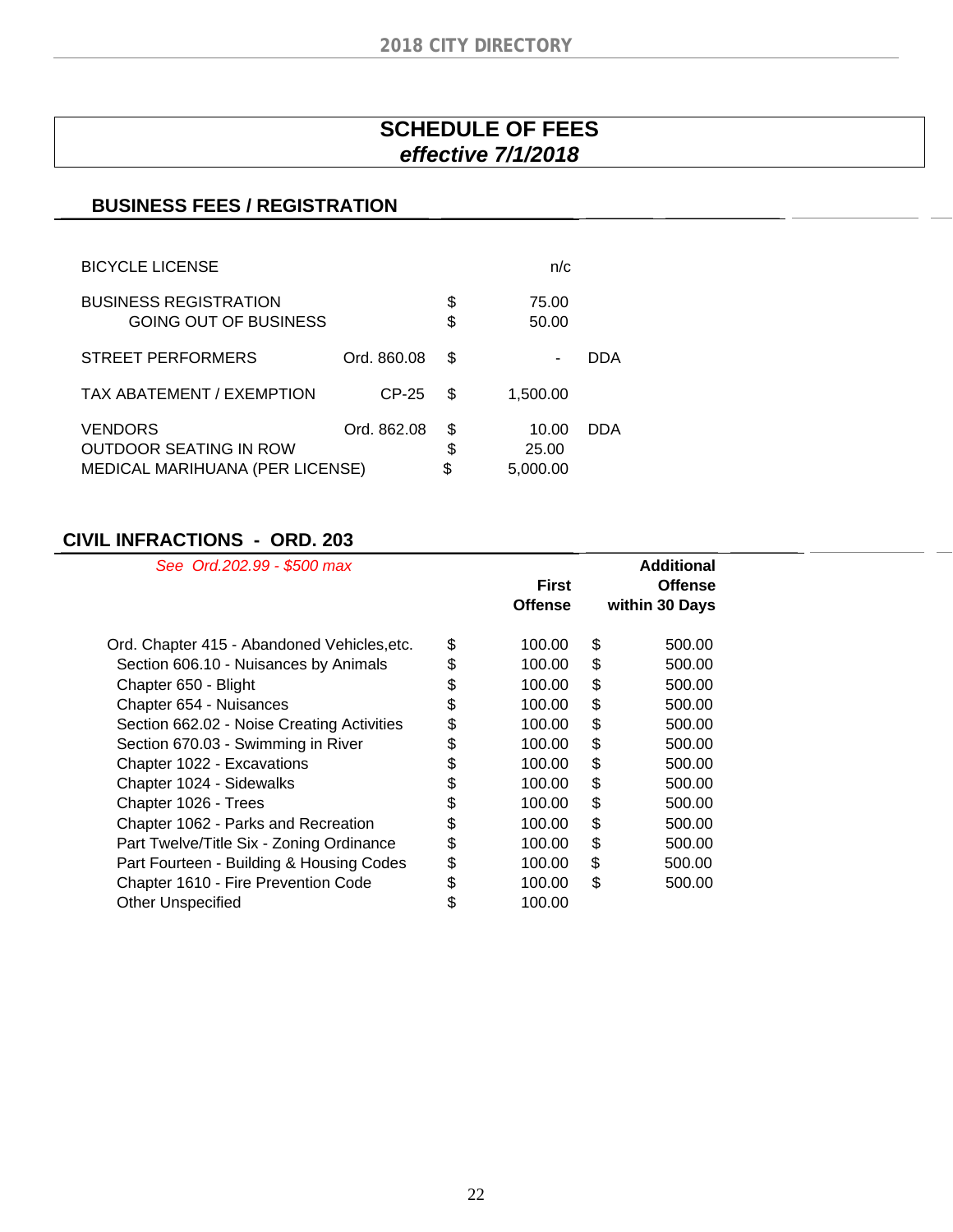# **SCHEDULE OF FEES**  *effective 7/1/2018*

### **BUSINESS FEES / REGISTRATION**

| <b>BICYCLE LICENSE</b>                                                      |             |                | n/c                        |     |
|-----------------------------------------------------------------------------|-------------|----------------|----------------------------|-----|
| <b>BUSINESS REGISTRATION</b><br>GOING OUT OF BUSINESS                       |             | \$<br>\$       | 75.00<br>50.00             |     |
| STREET PERFORMERS                                                           | Ord. 860.08 | S              | ۰                          | DDA |
| TAX ABATEMENT / EXEMPTION                                                   | $CP-25$     | S              | 1,500.00                   |     |
| <b>VENDORS</b><br>OUTDOOR SEATING IN ROW<br>MEDICAL MARIHUANA (PER LICENSE) | Ord. 862.08 | \$<br>\$<br>\$ | 10.00<br>25.00<br>5,000.00 | DDA |

### **CIVIL INFRACTIONS - ORD. 203**

| See Ord.202.99 - \$500 max                  | <b>First</b>   | <b>Additional</b><br><b>Offense</b> |
|---------------------------------------------|----------------|-------------------------------------|
|                                             | <b>Offense</b> | within 30 Days                      |
| Ord. Chapter 415 - Abandoned Vehicles, etc. | \$<br>100.00   | \$<br>500.00                        |
| Section 606.10 - Nuisances by Animals       | \$<br>100.00   | \$<br>500.00                        |
| Chapter 650 - Blight                        | \$<br>100.00   | \$<br>500.00                        |
| Chapter 654 - Nuisances                     | \$<br>100.00   | \$<br>500.00                        |
| Section 662.02 - Noise Creating Activities  | \$<br>100.00   | \$<br>500.00                        |
| Section 670.03 - Swimming in River          | \$<br>100.00   | \$<br>500.00                        |
| Chapter 1022 - Excavations                  | \$<br>100.00   | \$<br>500.00                        |
| Chapter 1024 - Sidewalks                    | \$<br>100.00   | \$<br>500.00                        |
| Chapter 1026 - Trees                        | \$<br>100.00   | \$<br>500.00                        |
| Chapter 1062 - Parks and Recreation         | \$<br>100.00   | \$<br>500.00                        |
| Part Twelve/Title Six - Zoning Ordinance    | \$<br>100.00   | \$<br>500.00                        |
| Part Fourteen - Building & Housing Codes    | \$<br>100.00   | \$<br>500.00                        |
| Chapter 1610 - Fire Prevention Code         | \$<br>100.00   | \$<br>500.00                        |
| <b>Other Unspecified</b>                    | \$<br>100.00   |                                     |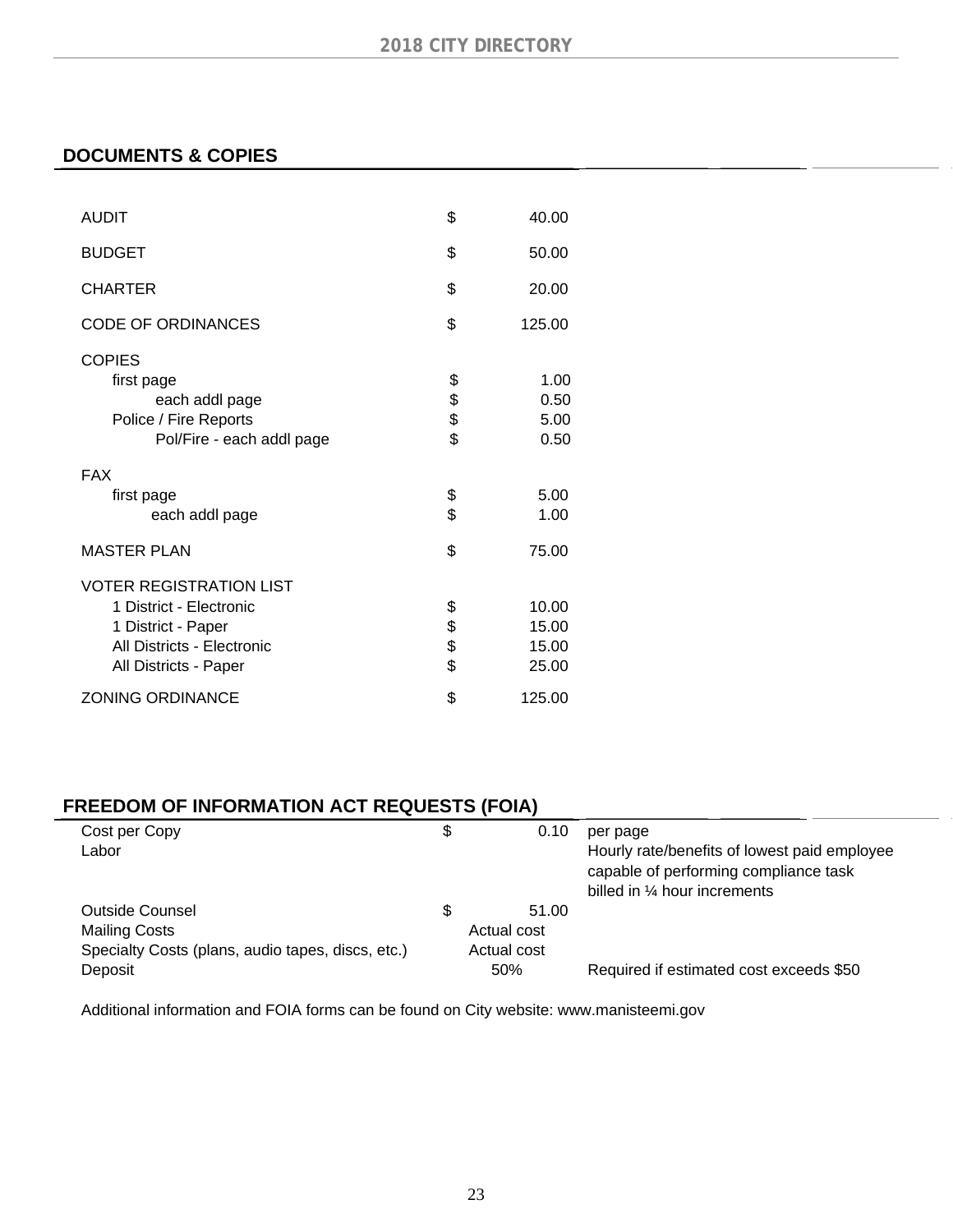### **DOCUMENTS & COPIES**

| <b>AUDIT</b>                                                                                                                           | \$                   | 40.00                            |
|----------------------------------------------------------------------------------------------------------------------------------------|----------------------|----------------------------------|
| <b>BUDGET</b>                                                                                                                          | \$                   | 50.00                            |
| <b>CHARTER</b>                                                                                                                         | \$                   | 20.00                            |
| <b>CODE OF ORDINANCES</b>                                                                                                              | \$                   | 125.00                           |
| COPIES<br>first page<br>each addl page<br>Police / Fire Reports<br>Pol/Fire - each addl page                                           | \$<br>\$\$           | 1.00<br>0.50<br>5.00<br>0.50     |
| <b>FAX</b><br>first page<br>each addl page                                                                                             | \$<br>\$             | 5.00<br>1.00                     |
| <b>MASTER PLAN</b>                                                                                                                     | \$                   | 75.00                            |
| <b>VOTER REGISTRATION LIST</b><br>1 District - Electronic<br>1 District - Paper<br>All Districts - Electronic<br>All Districts - Paper | \$<br>\$<br>\$<br>\$ | 10.00<br>15.00<br>15.00<br>25.00 |
| <b>ZONING ORDINANCE</b>                                                                                                                | \$                   | 125.00                           |

# **FREEDOM OF INFORMATION ACT REQUESTS (FOIA)**

| Cost per Copy                                     | \$<br>0.10  | per page                                                                                                               |
|---------------------------------------------------|-------------|------------------------------------------------------------------------------------------------------------------------|
| Labor                                             |             | Hourly rate/benefits of lowest paid employee<br>capable of performing compliance task<br>billed in 1/4 hour increments |
| Outside Counsel                                   | 51.00       |                                                                                                                        |
| Mailing Costs                                     | Actual cost |                                                                                                                        |
| Specialty Costs (plans, audio tapes, discs, etc.) | Actual cost |                                                                                                                        |
| Deposit                                           | 50%         | Required if estimated cost exceeds \$50                                                                                |

Additional information and FOIA forms can be found on City website: www.manisteemi.gov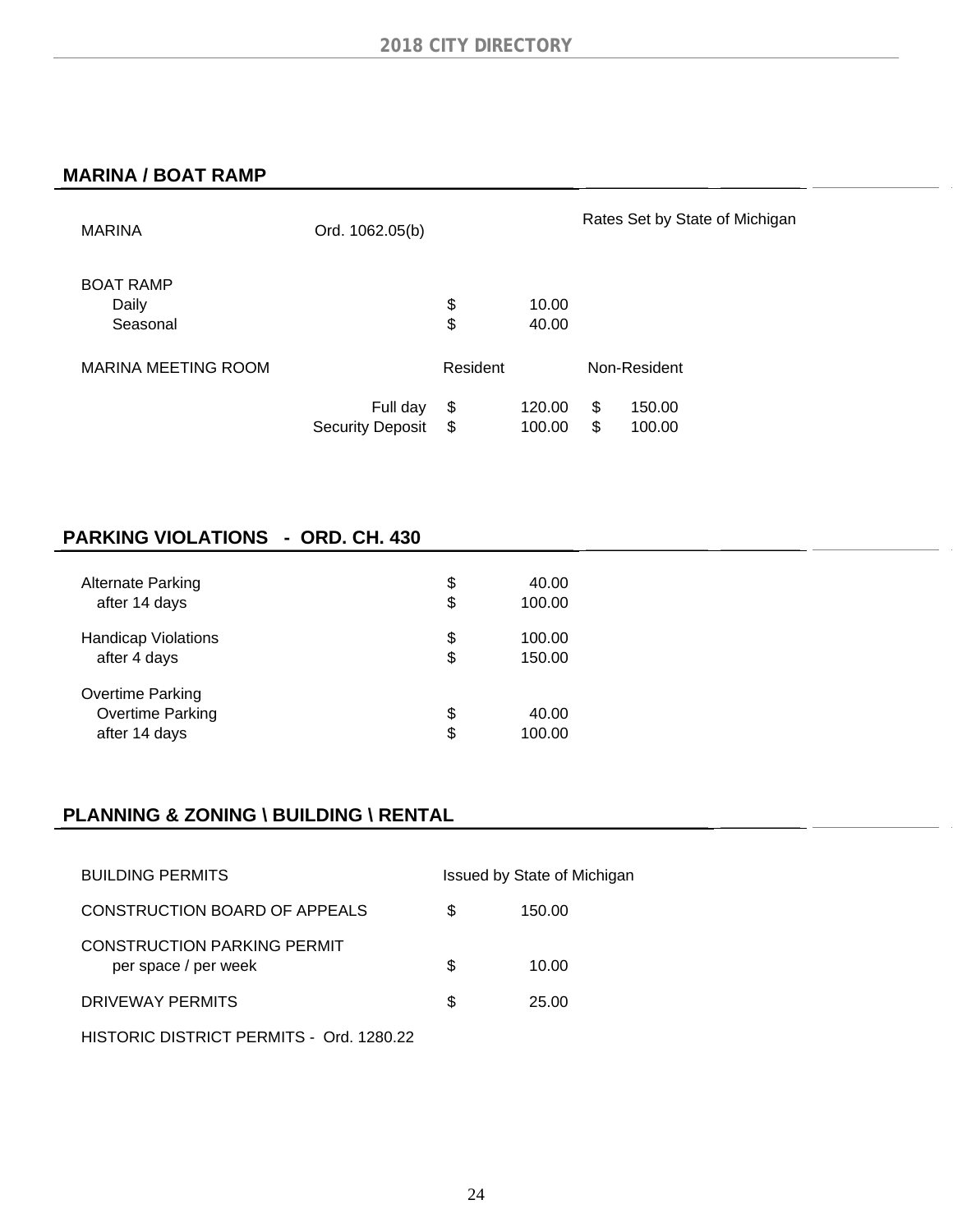#### **MARINA / BOAT RAMP**

| <b>MARINA</b>                   | Ord. 1062.05(b)                     |                |                  |          | Rates Set by State of Michigan |
|---------------------------------|-------------------------------------|----------------|------------------|----------|--------------------------------|
| <b>BOAT RAMP</b><br>Daily       |                                     | \$             | 10.00            |          |                                |
| Seasonal<br>MARINA MEETING ROOM |                                     | \$<br>Resident | 40.00            |          | Non-Resident                   |
|                                 | Full day<br><b>Security Deposit</b> | \$<br>\$       | 120.00<br>100.00 | \$<br>\$ | 150.00<br>100.00               |

### **PARKING VIOLATIONS - ORD. CH. 430**

| <b>Alternate Parking</b>                                     | \$       | 40.00           |
|--------------------------------------------------------------|----------|-----------------|
| after 14 days                                                | \$       | 100.00          |
| <b>Handicap Violations</b>                                   | \$       | 100.00          |
| after 4 days                                                 | \$       | 150.00          |
| Overtime Parking<br><b>Overtime Parking</b><br>after 14 days | \$<br>\$ | 40.00<br>100.00 |

### **PLANNING & ZONING \ BUILDING \ RENTAL**

| <b>BUILDING PERMITS</b>                                    |   | Issued by State of Michigan |  |
|------------------------------------------------------------|---|-----------------------------|--|
| CONSTRUCTION BOARD OF APPEALS                              | S | 150.00                      |  |
| <b>CONSTRUCTION PARKING PERMIT</b><br>per space / per week | S | 10.00                       |  |
| DRIVEWAY PERMITS                                           | S | 25.00                       |  |
| HISTORIC DISTRICT PERMITS - Ord. 1280.22                   |   |                             |  |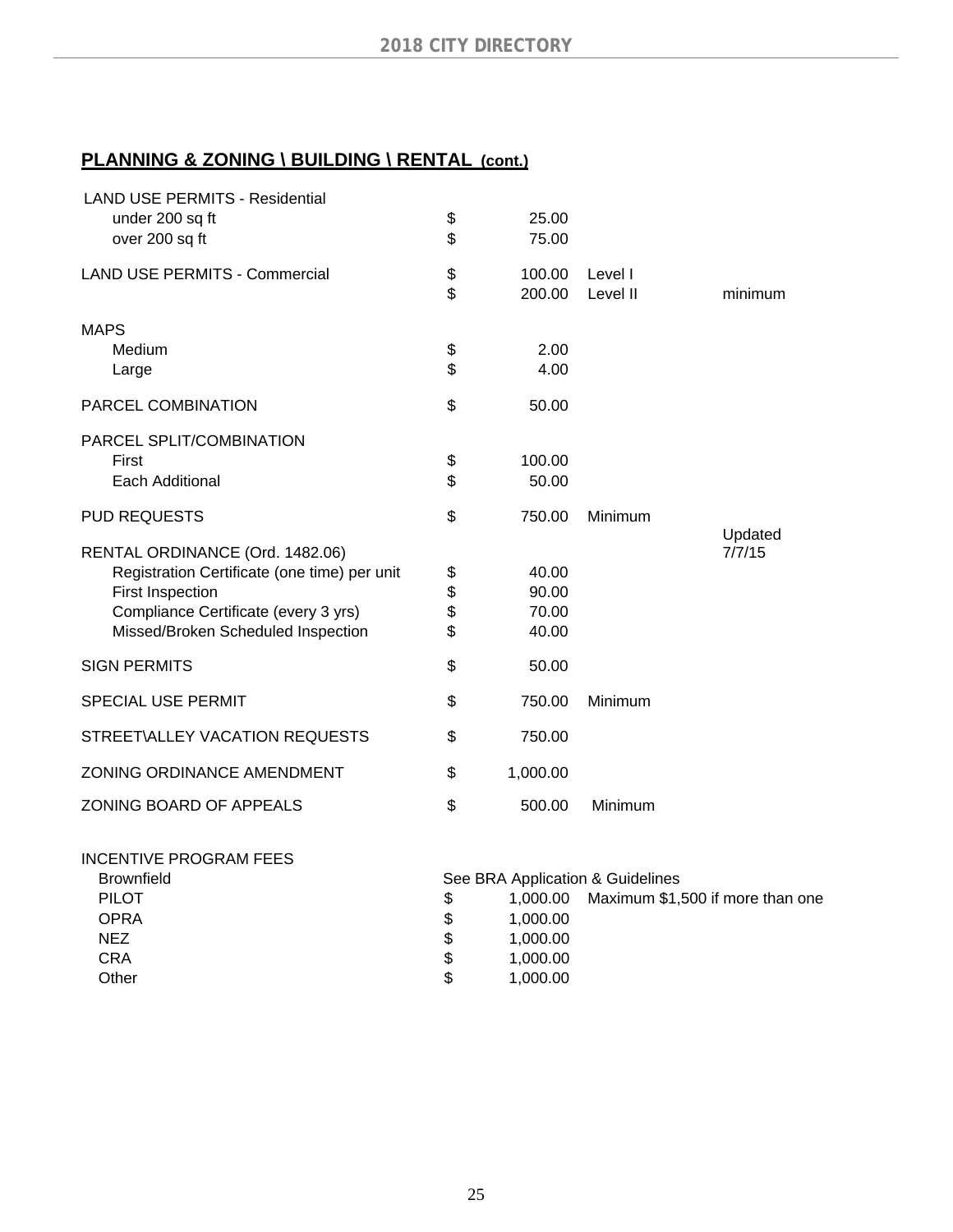# **PLANNING & ZONING \ BUILDING \ RENTAL (cont.)**

| <b>LAND USE PERMITS - Residential</b><br>under 200 sq ft<br>over 200 sq ft | \$<br>\$ | 25.00<br>75.00   |                     |                   |
|----------------------------------------------------------------------------|----------|------------------|---------------------|-------------------|
| <b>LAND USE PERMITS - Commercial</b>                                       | \$<br>\$ | 100.00<br>200.00 | Level I<br>Level II | minimum           |
| <b>MAPS</b>                                                                |          |                  |                     |                   |
| Medium                                                                     | \$       | 2.00             |                     |                   |
| Large                                                                      | \$       | 4.00             |                     |                   |
| PARCEL COMBINATION                                                         | \$       | 50.00            |                     |                   |
| PARCEL SPLIT/COMBINATION                                                   |          |                  |                     |                   |
| First                                                                      | \$       | 100.00           |                     |                   |
| Each Additional                                                            | \$       | 50.00            |                     |                   |
| <b>PUD REQUESTS</b>                                                        | \$       | 750.00           | Minimum             |                   |
| RENTAL ORDINANCE (Ord. 1482.06)                                            |          |                  |                     | Updated<br>7/7/15 |
| Registration Certificate (one time) per unit                               | \$       | 40.00            |                     |                   |
| <b>First Inspection</b>                                                    | \$<br>\$ | 90.00            |                     |                   |
| Compliance Certificate (every 3 yrs)                                       |          | 70.00            |                     |                   |
| Missed/Broken Scheduled Inspection                                         | \$       | 40.00            |                     |                   |
| <b>SIGN PERMITS</b>                                                        | \$       | 50.00            |                     |                   |
| <b>SPECIAL USE PERMIT</b>                                                  | \$       | 750.00           | Minimum             |                   |
| STREET\ALLEY VACATION REQUESTS                                             | \$       | 750.00           |                     |                   |
| ZONING ORDINANCE AMENDMENT                                                 | \$       | 1,000.00         |                     |                   |
| ZONING BOARD OF APPEALS                                                    | \$       | 500.00           | Minimum             |                   |
|                                                                            |          |                  |                     |                   |

#### INCENTIVE PROGRAM FEES

| <b>Brownfield</b>  | See BRA Application & Guidelines             |  |  |  |  |
|--------------------|----------------------------------------------|--|--|--|--|
| <b>PILOT</b><br>\$ | Maximum \$1,500 if more than one<br>1.000.00 |  |  |  |  |
| \$<br>OPRA         | 1.000.00                                     |  |  |  |  |
| NEZ<br>\$          | 1.000.00                                     |  |  |  |  |
| CRA<br>\$          | 1.000.00                                     |  |  |  |  |
| \$<br>Other        | 1.000.00                                     |  |  |  |  |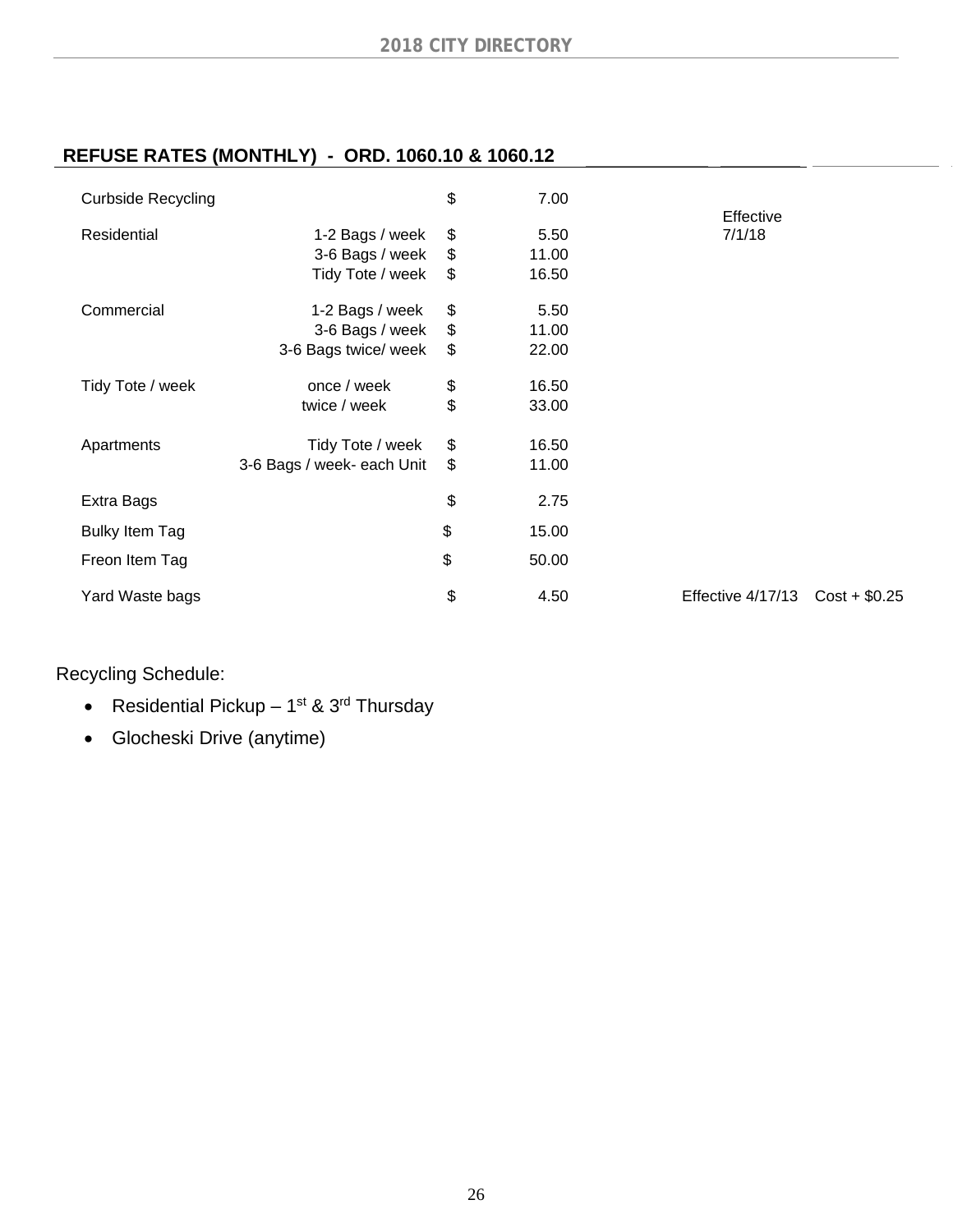### **REFUSE RATES (MONTHLY) - ORD. 1060.10 & 1060.12**

| <b>Curbside Recycling</b> |                                    | \$       | 7.00          |                     |                |
|---------------------------|------------------------------------|----------|---------------|---------------------|----------------|
| Residential               | 1-2 Bags / week<br>3-6 Bags / week | \$<br>\$ | 5.50<br>11.00 | Effective<br>7/1/18 |                |
|                           | Tidy Tote / week                   | \$       | 16.50         |                     |                |
| Commercial                | 1-2 Bags / week                    | \$       | 5.50          |                     |                |
|                           | 3-6 Bags / week                    | \$       | 11.00         |                     |                |
|                           | 3-6 Bags twice/ week               | \$       | 22.00         |                     |                |
| Tidy Tote / week          | once / week                        | \$       | 16.50         |                     |                |
|                           | twice / week                       | \$       | 33.00         |                     |                |
| Apartments                | Tidy Tote / week                   | \$       | 16.50         |                     |                |
|                           | 3-6 Bags / week- each Unit         | \$       | 11.00         |                     |                |
| Extra Bags                |                                    | \$       | 2.75          |                     |                |
| <b>Bulky Item Tag</b>     |                                    | \$       | 15.00         |                     |                |
| Freon Item Tag            |                                    | \$       | 50.00         |                     |                |
| Yard Waste bags           |                                    | \$       | 4.50          | Effective 4/17/13   | $Cost + $0.25$ |

Recycling Schedule:

- Residential Pickup  $1^{st}$  &  $3^{rd}$  Thursday
- Glocheski Drive (anytime)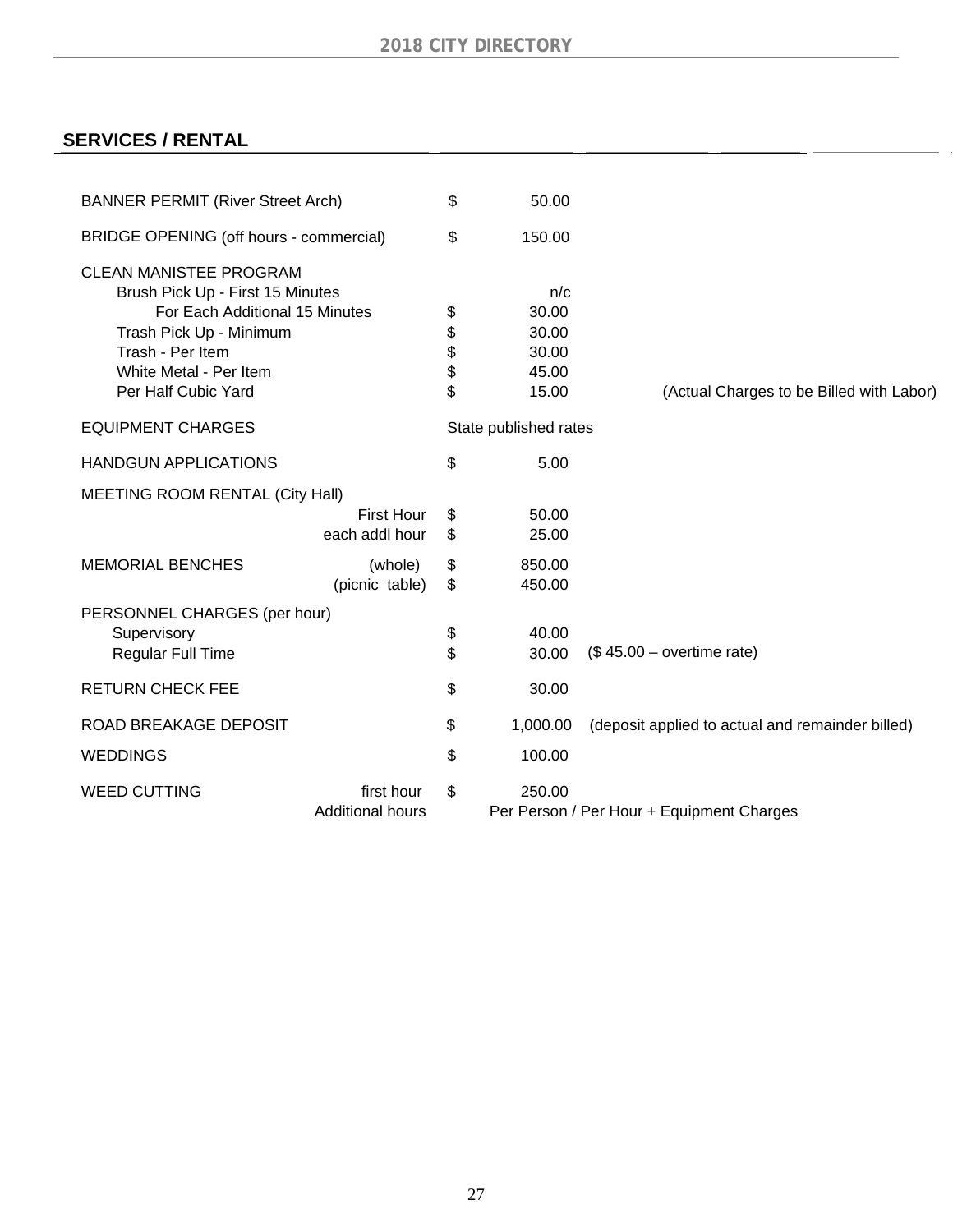## **SERVICES / RENTAL**

| <b>BANNER PERMIT (River Street Arch)</b>                                                                                                                                                            |                                       | \$                         | 50.00                                            |                                                  |
|-----------------------------------------------------------------------------------------------------------------------------------------------------------------------------------------------------|---------------------------------------|----------------------------|--------------------------------------------------|--------------------------------------------------|
| BRIDGE OPENING (off hours - commercial)                                                                                                                                                             |                                       | \$                         | 150.00                                           |                                                  |
| <b>CLEAN MANISTEE PROGRAM</b><br>Brush Pick Up - First 15 Minutes<br>For Each Additional 15 Minutes<br>Trash Pick Up - Minimum<br>Trash - Per Item<br>White Metal - Per Item<br>Per Half Cubic Yard |                                       | \$<br>\$<br>\$<br>\$<br>\$ | n/c<br>30.00<br>30.00<br>30.00<br>45.00<br>15.00 | (Actual Charges to be Billed with Labor)         |
| <b>EQUIPMENT CHARGES</b>                                                                                                                                                                            |                                       |                            | State published rates                            |                                                  |
| <b>HANDGUN APPLICATIONS</b>                                                                                                                                                                         |                                       | \$                         | 5.00                                             |                                                  |
| MEETING ROOM RENTAL (City Hall)                                                                                                                                                                     |                                       |                            |                                                  |                                                  |
|                                                                                                                                                                                                     | <b>First Hour</b><br>each addl hour   | \$<br>\$                   | 50.00<br>25.00                                   |                                                  |
| <b>MEMORIAL BENCHES</b>                                                                                                                                                                             | (whole)<br>(picnic table)             | \$<br>\$                   | 850.00<br>450.00                                 |                                                  |
| PERSONNEL CHARGES (per hour)<br>Supervisory                                                                                                                                                         |                                       | \$                         | 40.00                                            |                                                  |
| Regular Full Time                                                                                                                                                                                   |                                       | \$                         | 30.00                                            | $($45.00 - overtime rate)$                       |
| <b>RETURN CHECK FEE</b>                                                                                                                                                                             |                                       | \$                         | 30.00                                            |                                                  |
| ROAD BREAKAGE DEPOSIT                                                                                                                                                                               |                                       | \$                         | 1,000.00                                         | (deposit applied to actual and remainder billed) |
| <b>WEDDINGS</b>                                                                                                                                                                                     |                                       | \$                         | 100.00                                           |                                                  |
| <b>WEED CUTTING</b>                                                                                                                                                                                 | first hour<br><b>Additional hours</b> | \$                         | 250.00                                           | Per Person / Per Hour + Equipment Charges        |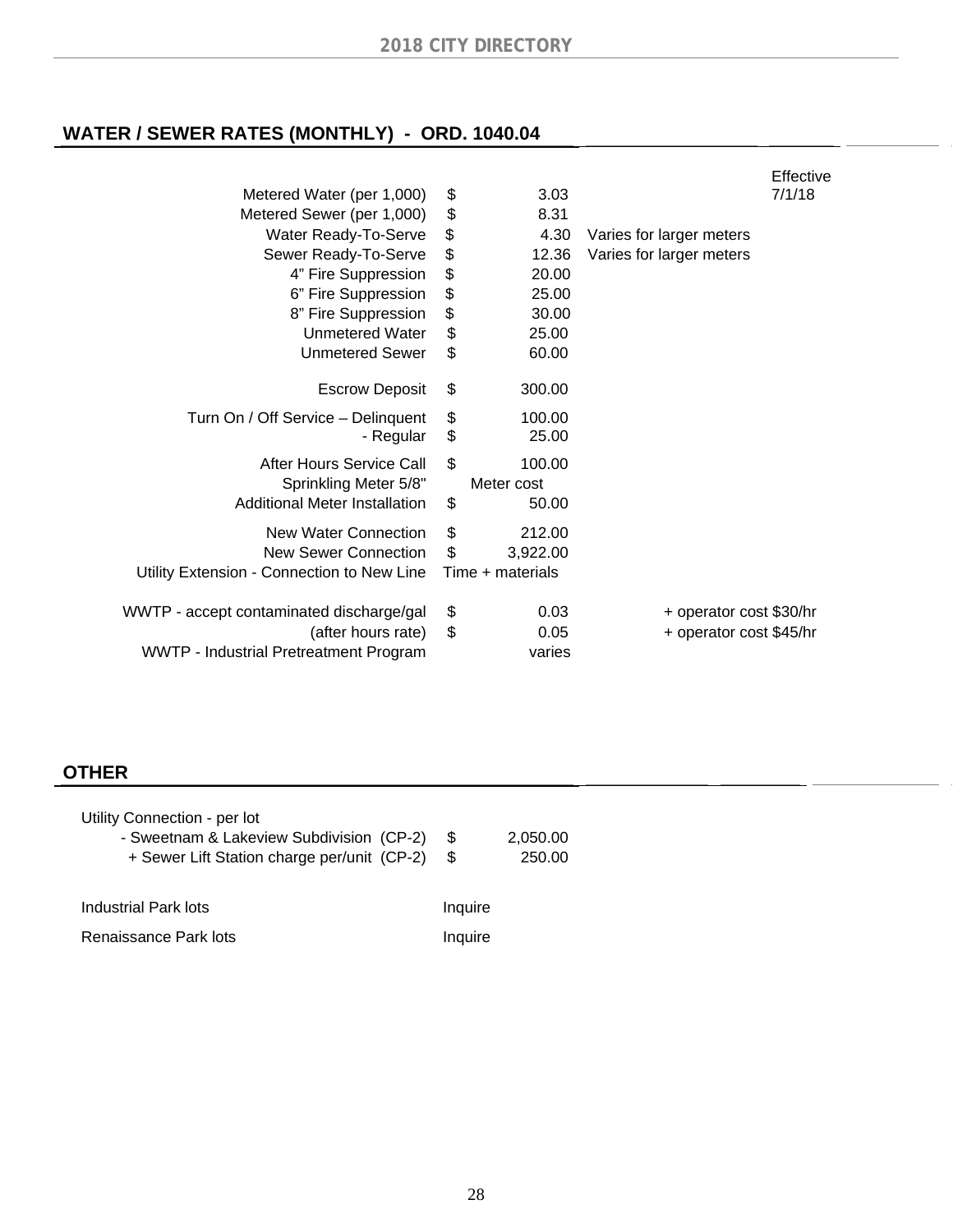# **WATER / SEWER RATES (MONTHLY) - ORD. 1040.04**

|          |                      |                                                 | Effective |
|----------|----------------------|-------------------------------------------------|-----------|
| \$       | 3.03                 |                                                 | 7/1/18    |
| \$       | 8.31                 |                                                 |           |
| \$       | 4.30                 | Varies for larger meters                        |           |
| \$       | 12.36                | Varies for larger meters                        |           |
| \$       | 20.00                |                                                 |           |
| \$       | 25.00                |                                                 |           |
| \$       | 30.00                |                                                 |           |
| \$       | 25.00                |                                                 |           |
| \$       | 60.00                |                                                 |           |
| \$       | 300.00               |                                                 |           |
| \$<br>\$ | 100.00<br>25.00      |                                                 |           |
| \$       | 100.00<br>Meter cost |                                                 |           |
|          |                      |                                                 |           |
|          |                      |                                                 |           |
|          |                      |                                                 |           |
| \$       | 0.03                 | + operator cost \$30/hr                         |           |
| \$       | 0.05                 | + operator cost \$45/hr                         |           |
|          | varies               |                                                 |           |
|          | \$<br>\$<br>\$       | 50.00<br>212.00<br>3,922.00<br>Time + materials |           |

### **OTHER**

| Utility Connection - per lot<br>- Sweetnam & Lakeview Subdivision (CP-2)<br>+ Sewer Lift Station charge per/unit (CP-2) | S.<br>\$. | 2,050.00<br>250.00 |
|-------------------------------------------------------------------------------------------------------------------------|-----------|--------------------|
| Industrial Park lots                                                                                                    | Inquire   |                    |
| Renaissance Park lots                                                                                                   | Inquire   |                    |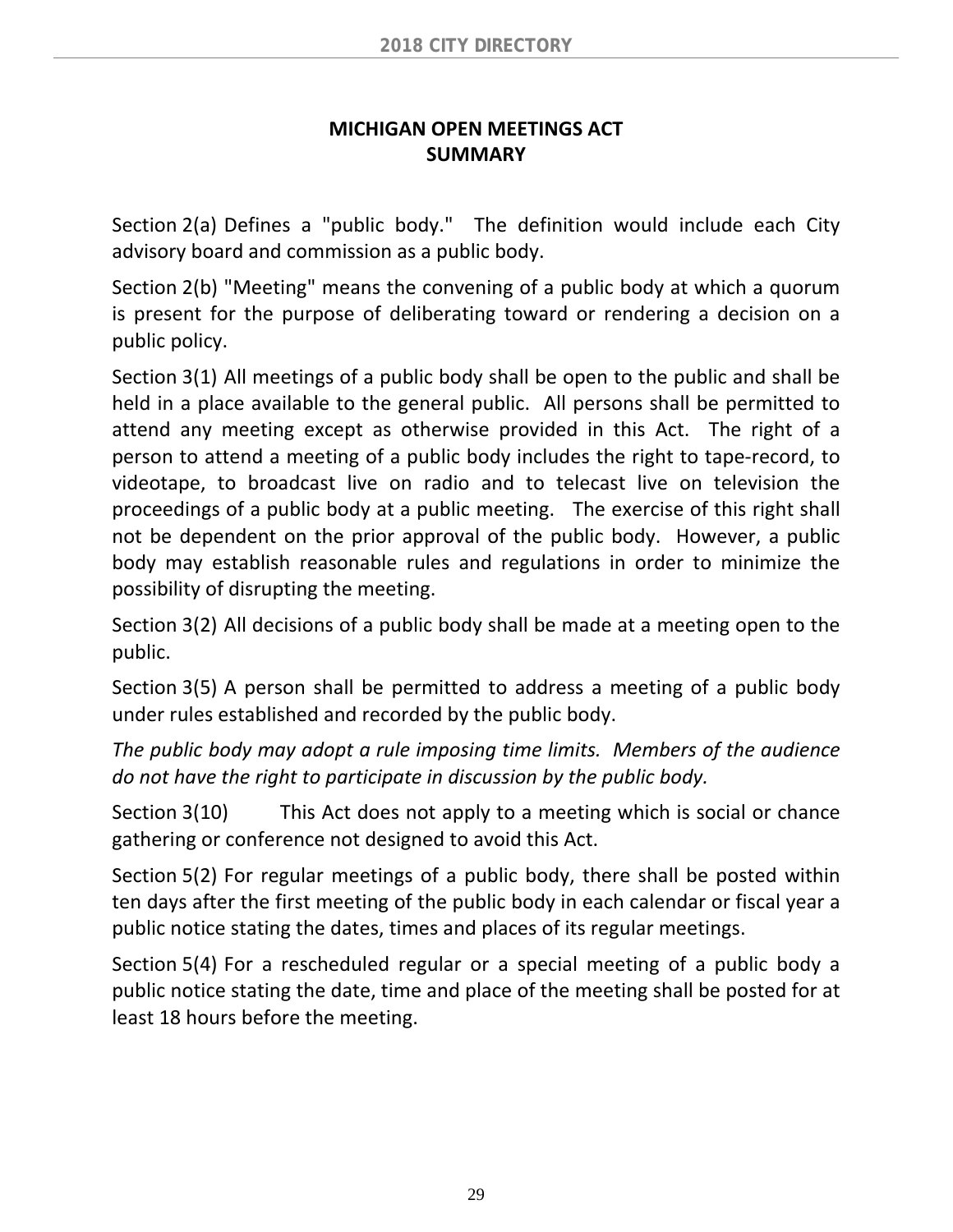### **MICHIGAN OPEN MEETINGS ACT SUMMARY**

Section 2(a) Defines a "public body." The definition would include each City advisory board and commission as a public body.

Section 2(b) "Meeting" means the convening of a public body at which a quorum is present for the purpose of deliberating toward or rendering a decision on a public policy.

Section 3(1) All meetings of a public body shall be open to the public and shall be held in a place available to the general public. All persons shall be permitted to attend any meeting except as otherwise provided in this Act. The right of a person to attend a meeting of a public body includes the right to tape‐record, to videotape, to broadcast live on radio and to telecast live on television the proceedings of a public body at a public meeting. The exercise of this right shall not be dependent on the prior approval of the public body. However, a public body may establish reasonable rules and regulations in order to minimize the possibility of disrupting the meeting.

Section 3(2) All decisions of a public body shall be made at a meeting open to the public.

Section 3(5) A person shall be permitted to address a meeting of a public body under rules established and recorded by the public body.

*The public body may adopt a rule imposing time limits. Members of the audience do not have the right to participate in discussion by the public body.*

Section 3(10) This Act does not apply to a meeting which is social or chance gathering or conference not designed to avoid this Act.

Section 5(2) For regular meetings of a public body, there shall be posted within ten days after the first meeting of the public body in each calendar or fiscal year a public notice stating the dates, times and places of its regular meetings.

Section 5(4) For a rescheduled regular or a special meeting of a public body a public notice stating the date, time and place of the meeting shall be posted for at least 18 hours before the meeting.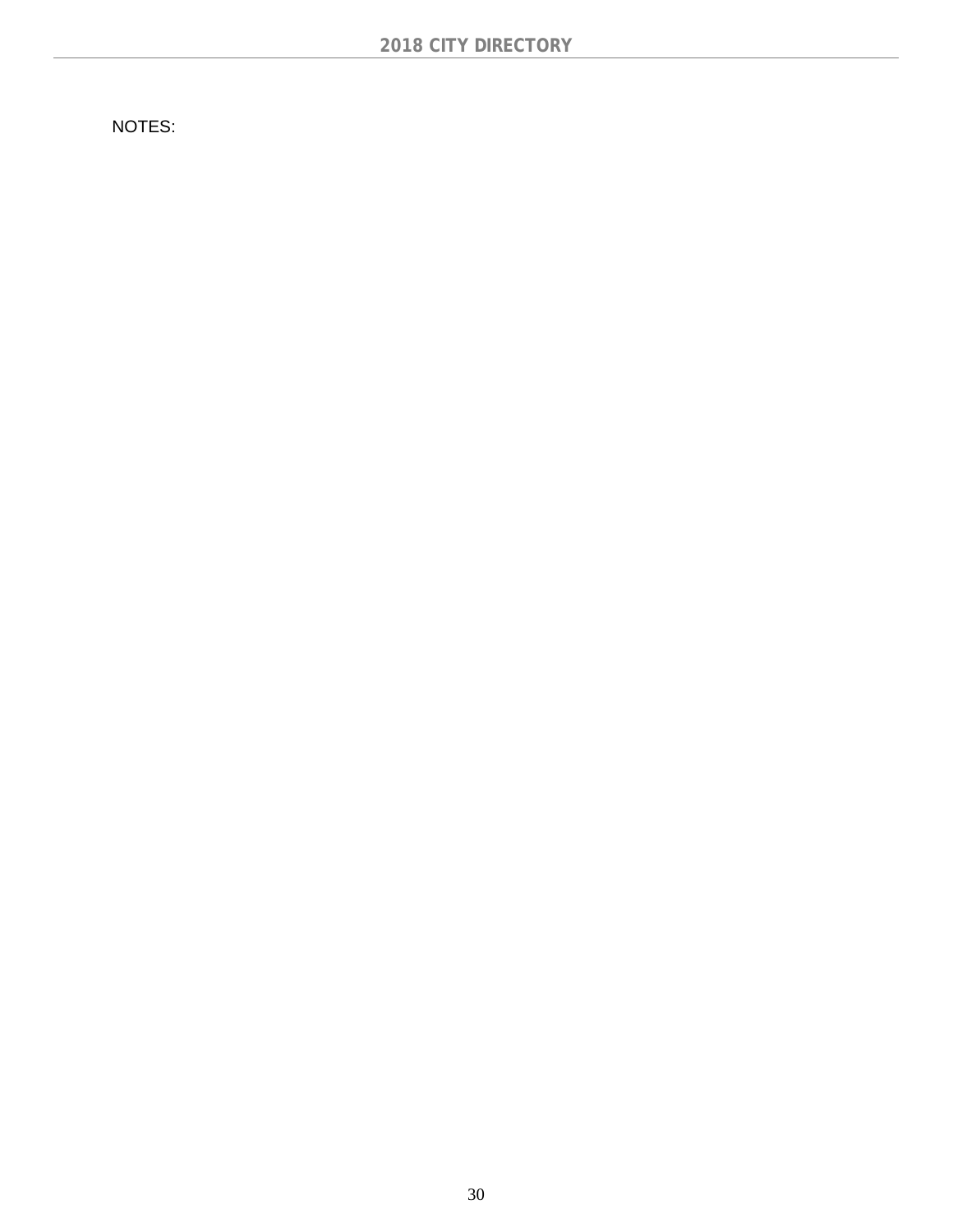NOTES: